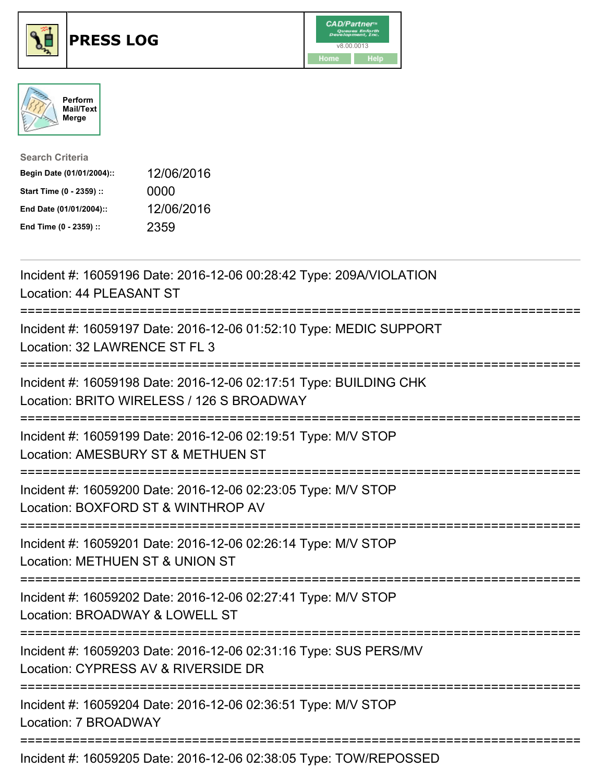





| <b>Search Criteria</b>    |            |
|---------------------------|------------|
| Begin Date (01/01/2004):: | 12/06/2016 |
| Start Time (0 - 2359) ::  | 0000       |
| End Date (01/01/2004)::   | 12/06/2016 |
| End Time (0 - 2359) ::    | 2359       |

| Incident #: 16059196 Date: 2016-12-06 00:28:42 Type: 209A/VIOLATION<br>Location: 44 PLEASANT ST                                                     |
|-----------------------------------------------------------------------------------------------------------------------------------------------------|
| Incident #: 16059197 Date: 2016-12-06 01:52:10 Type: MEDIC SUPPORT<br>Location: 32 LAWRENCE ST FL 3                                                 |
| Incident #: 16059198 Date: 2016-12-06 02:17:51 Type: BUILDING CHK<br>Location: BRITO WIRELESS / 126 S BROADWAY<br>:================================ |
| Incident #: 16059199 Date: 2016-12-06 02:19:51 Type: M/V STOP<br>Location: AMESBURY ST & METHUEN ST<br>----------------------                       |
| Incident #: 16059200 Date: 2016-12-06 02:23:05 Type: M/V STOP<br>Location: BOXFORD ST & WINTHROP AV<br>:=============================               |
| Incident #: 16059201 Date: 2016-12-06 02:26:14 Type: M/V STOP<br>Location: METHUEN ST & UNION ST                                                    |
| Incident #: 16059202 Date: 2016-12-06 02:27:41 Type: M/V STOP<br>Location: BROADWAY & LOWELL ST                                                     |
| Incident #: 16059203 Date: 2016-12-06 02:31:16 Type: SUS PERS/MV<br>Location: CYPRESS AV & RIVERSIDE DR                                             |
| Incident #: 16059204 Date: 2016-12-06 02:36:51 Type: M/V STOP<br>Location: 7 BROADWAY                                                               |
|                                                                                                                                                     |

Incident #: 16059205 Date: 2016-12-06 02:38:05 Type: TOW/REPOSSED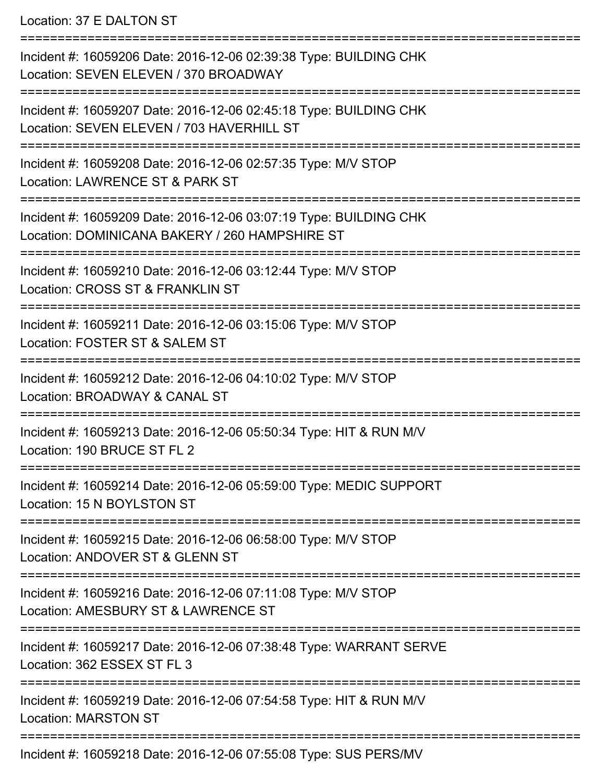Location: 37 E DALTON ST

=========================================================================== Incident #: 16059206 Date: 2016-12-06 02:39:38 Type: BUILDING CHK Location: SEVEN ELEVEN / 370 BROADWAY =========================================================================== Incident #: 16059207 Date: 2016-12-06 02:45:18 Type: BUILDING CHK Location: SEVEN ELEVEN / 703 HAVERHILL ST =========================================================================== Incident #: 16059208 Date: 2016-12-06 02:57:35 Type: M/V STOP Location: LAWRENCE ST & PARK ST =========================================================================== Incident #: 16059209 Date: 2016-12-06 03:07:19 Type: BUILDING CHK Location: DOMINICANA BAKERY / 260 HAMPSHIRE ST =========================================================================== Incident #: 16059210 Date: 2016-12-06 03:12:44 Type: M/V STOP Location: CROSS ST & FRANKLIN ST =========================================================================== Incident #: 16059211 Date: 2016-12-06 03:15:06 Type: M/V STOP Location: FOSTER ST & SALEM ST =========================================================================== Incident #: 16059212 Date: 2016-12-06 04:10:02 Type: M/V STOP Location: BROADWAY & CANAL ST =========================================================================== Incident #: 16059213 Date: 2016-12-06 05:50:34 Type: HIT & RUN M/V Location: 190 BRUCE ST FL 2 =========================================================================== Incident #: 16059214 Date: 2016-12-06 05:59:00 Type: MEDIC SUPPORT Location: 15 N BOYLSTON ST =========================================================================== Incident #: 16059215 Date: 2016-12-06 06:58:00 Type: M/V STOP Location: ANDOVER ST & GLENN ST =========================================================================== Incident #: 16059216 Date: 2016-12-06 07:11:08 Type: M/V STOP Location: AMESBURY ST & LAWRENCE ST =========================================================================== Incident #: 16059217 Date: 2016-12-06 07:38:48 Type: WARRANT SERVE Location: 362 ESSEX ST FL 3 =========================================================================== Incident #: 16059219 Date: 2016-12-06 07:54:58 Type: HIT & RUN M/V Location: MARSTON ST =========================================================================== Incident #: 16059218 Date: 2016-12-06 07:55:08 Type: SUS PERS/MV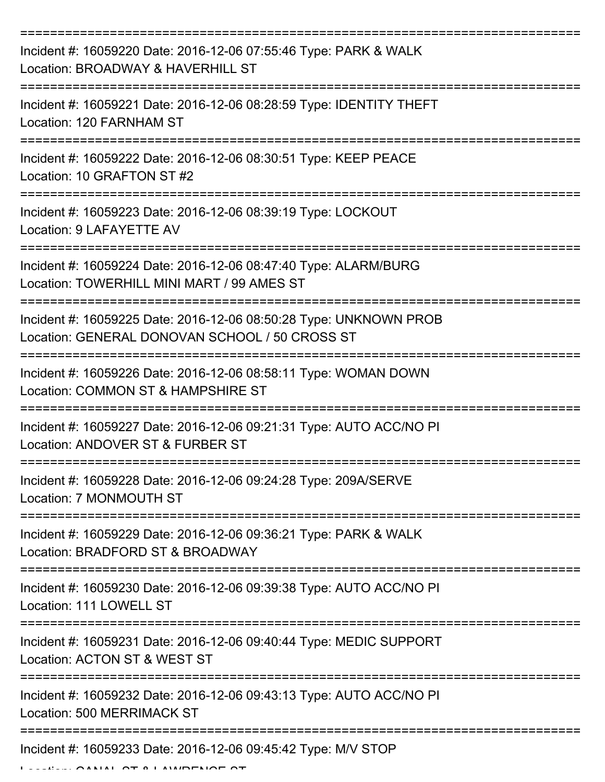| Incident #: 16059220 Date: 2016-12-06 07:55:46 Type: PARK & WALK<br>Location: BROADWAY & HAVERHILL ST               |
|---------------------------------------------------------------------------------------------------------------------|
| Incident #: 16059221 Date: 2016-12-06 08:28:59 Type: IDENTITY THEFT<br>Location: 120 FARNHAM ST                     |
| Incident #: 16059222 Date: 2016-12-06 08:30:51 Type: KEEP PEACE<br>Location: 10 GRAFTON ST #2                       |
| Incident #: 16059223 Date: 2016-12-06 08:39:19 Type: LOCKOUT<br>Location: 9 LAFAYETTE AV                            |
| Incident #: 16059224 Date: 2016-12-06 08:47:40 Type: ALARM/BURG<br>Location: TOWERHILL MINI MART / 99 AMES ST       |
| Incident #: 16059225 Date: 2016-12-06 08:50:28 Type: UNKNOWN PROB<br>Location: GENERAL DONOVAN SCHOOL / 50 CROSS ST |
| Incident #: 16059226 Date: 2016-12-06 08:58:11 Type: WOMAN DOWN<br>Location: COMMON ST & HAMPSHIRE ST               |
| Incident #: 16059227 Date: 2016-12-06 09:21:31 Type: AUTO ACC/NO PI<br>Location: ANDOVER ST & FURBER ST             |
| Incident #: 16059228 Date: 2016-12-06 09:24:28 Type: 209A/SERVE<br>Location: 7 MONMOUTH ST                          |
| Incident #: 16059229 Date: 2016-12-06 09:36:21 Type: PARK & WALK<br>Location: BRADFORD ST & BROADWAY                |
| Incident #: 16059230 Date: 2016-12-06 09:39:38 Type: AUTO ACC/NO PI<br>Location: 111 LOWELL ST                      |
| Incident #: 16059231 Date: 2016-12-06 09:40:44 Type: MEDIC SUPPORT<br>Location: ACTON ST & WEST ST                  |
| Incident #: 16059232 Date: 2016-12-06 09:43:13 Type: AUTO ACC/NO PI<br><b>Location: 500 MERRIMACK ST</b>            |
| Incident #: 16059233 Date: 2016-12-06 09:45:42 Type: M/V STOP<br>IAI OT A I AMPENDE OT                              |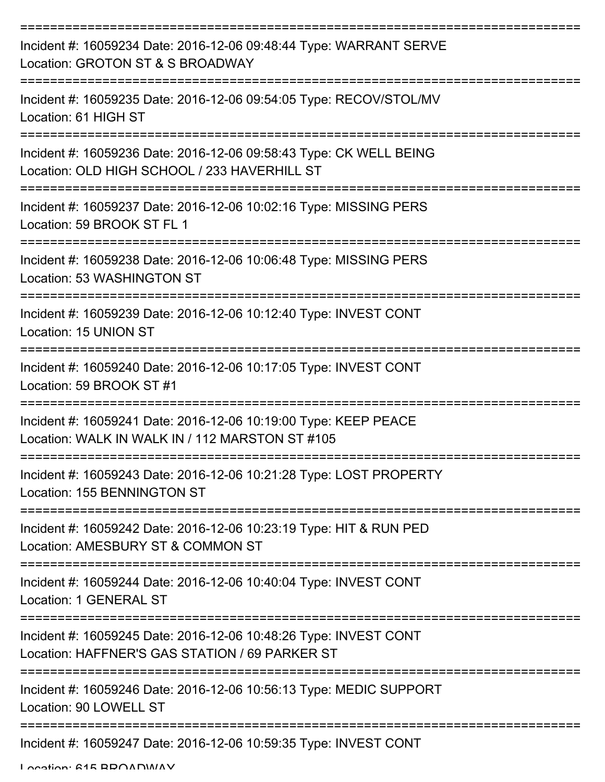| Incident #: 16059234 Date: 2016-12-06 09:48:44 Type: WARRANT SERVE<br>Location: GROTON ST & S BROADWAY             |
|--------------------------------------------------------------------------------------------------------------------|
| Incident #: 16059235 Date: 2016-12-06 09:54:05 Type: RECOV/STOL/MV<br>Location: 61 HIGH ST                         |
| Incident #: 16059236 Date: 2016-12-06 09:58:43 Type: CK WELL BEING<br>Location: OLD HIGH SCHOOL / 233 HAVERHILL ST |
| Incident #: 16059237 Date: 2016-12-06 10:02:16 Type: MISSING PERS<br>Location: 59 BROOK ST FL 1                    |
| Incident #: 16059238 Date: 2016-12-06 10:06:48 Type: MISSING PERS<br>Location: 53 WASHINGTON ST                    |
| :=============<br>Incident #: 16059239 Date: 2016-12-06 10:12:40 Type: INVEST CONT<br>Location: 15 UNION ST        |
| Incident #: 16059240 Date: 2016-12-06 10:17:05 Type: INVEST CONT<br>Location: 59 BROOK ST #1                       |
| Incident #: 16059241 Date: 2016-12-06 10:19:00 Type: KEEP PEACE<br>Location: WALK IN WALK IN / 112 MARSTON ST #105 |
| Incident #: 16059243 Date: 2016-12-06 10:21:28 Type: LOST PROPERTY<br>Location: 155 BENNINGTON ST                  |
| Incident #: 16059242 Date: 2016-12-06 10:23:19 Type: HIT & RUN PED<br>Location: AMESBURY ST & COMMON ST            |
| Incident #: 16059244 Date: 2016-12-06 10:40:04 Type: INVEST CONT<br><b>Location: 1 GENERAL ST</b>                  |
| Incident #: 16059245 Date: 2016-12-06 10:48:26 Type: INVEST CONT<br>Location: HAFFNER'S GAS STATION / 69 PARKER ST |
| Incident #: 16059246 Date: 2016-12-06 10:56:13 Type: MEDIC SUPPORT<br>Location: 90 LOWELL ST                       |
| Incident #: 16059247 Date: 2016-12-06 10:59:35 Type: INVEST CONT                                                   |

Location: 615 BBOADWAY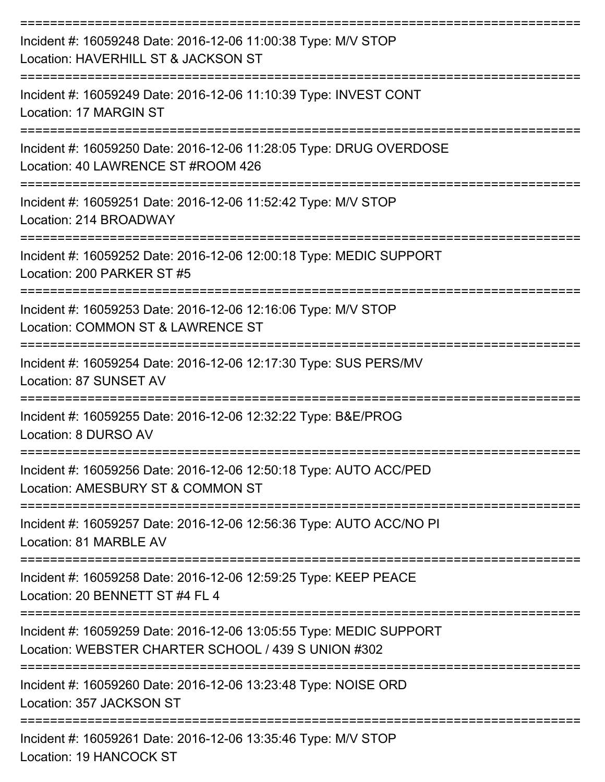| Incident #: 16059248 Date: 2016-12-06 11:00:38 Type: M/V STOP<br>Location: HAVERHILL ST & JACKSON ST                      |
|---------------------------------------------------------------------------------------------------------------------------|
| Incident #: 16059249 Date: 2016-12-06 11:10:39 Type: INVEST CONT<br>Location: 17 MARGIN ST                                |
| Incident #: 16059250 Date: 2016-12-06 11:28:05 Type: DRUG OVERDOSE<br>Location: 40 LAWRENCE ST #ROOM 426                  |
| Incident #: 16059251 Date: 2016-12-06 11:52:42 Type: M/V STOP<br>Location: 214 BROADWAY                                   |
| Incident #: 16059252 Date: 2016-12-06 12:00:18 Type: MEDIC SUPPORT<br>Location: 200 PARKER ST #5                          |
| Incident #: 16059253 Date: 2016-12-06 12:16:06 Type: M/V STOP<br>Location: COMMON ST & LAWRENCE ST                        |
| Incident #: 16059254 Date: 2016-12-06 12:17:30 Type: SUS PERS/MV<br>Location: 87 SUNSET AV                                |
| Incident #: 16059255 Date: 2016-12-06 12:32:22 Type: B&E/PROG<br>Location: 8 DURSO AV                                     |
| Incident #: 16059256 Date: 2016-12-06 12:50:18 Type: AUTO ACC/PED<br>Location: AMESBURY ST & COMMON ST                    |
| Incident #: 16059257 Date: 2016-12-06 12:56:36 Type: AUTO ACC/NO PI<br>Location: 81 MARBLE AV                             |
| Incident #: 16059258 Date: 2016-12-06 12:59:25 Type: KEEP PEACE<br>Location: 20 BENNETT ST #4 FL 4                        |
| Incident #: 16059259 Date: 2016-12-06 13:05:55 Type: MEDIC SUPPORT<br>Location: WEBSTER CHARTER SCHOOL / 439 S UNION #302 |
| Incident #: 16059260 Date: 2016-12-06 13:23:48 Type: NOISE ORD<br>Location: 357 JACKSON ST                                |
| Incident #: 16059261 Date: 2016-12-06 13:35:46 Type: M/V STOP<br>Location: 19 HANCOCK ST                                  |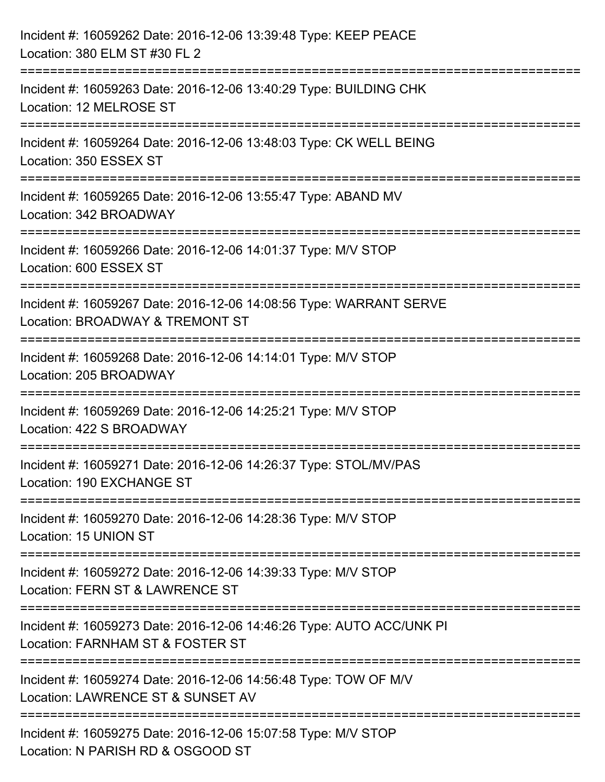| Incident #: 16059262 Date: 2016-12-06 13:39:48 Type: KEEP PEACE<br>Location: 380 ELM ST #30 FL 2                                  |
|-----------------------------------------------------------------------------------------------------------------------------------|
| =======================<br>Incident #: 16059263 Date: 2016-12-06 13:40:29 Type: BUILDING CHK<br>Location: 12 MELROSE ST           |
| Incident #: 16059264 Date: 2016-12-06 13:48:03 Type: CK WELL BEING<br>Location: 350 ESSEX ST<br>================================  |
| Incident #: 16059265 Date: 2016-12-06 13:55:47 Type: ABAND MV<br>Location: 342 BROADWAY                                           |
| Incident #: 16059266 Date: 2016-12-06 14:01:37 Type: M/V STOP<br>Location: 600 ESSEX ST                                           |
| Incident #: 16059267 Date: 2016-12-06 14:08:56 Type: WARRANT SERVE<br>Location: BROADWAY & TREMONT ST                             |
| Incident #: 16059268 Date: 2016-12-06 14:14:01 Type: M/V STOP<br>Location: 205 BROADWAY                                           |
| Incident #: 16059269 Date: 2016-12-06 14:25:21 Type: M/V STOP<br>Location: 422 S BROADWAY                                         |
| Incident #: 16059271 Date: 2016-12-06 14:26:37 Type: STOL/MV/PAS<br>Location: 190 EXCHANGE ST                                     |
| Incident #: 16059270 Date: 2016-12-06 14:28:36 Type: M/V STOP<br>Location: 15 UNION ST                                            |
| Incident #: 16059272 Date: 2016-12-06 14:39:33 Type: M/V STOP<br>Location: FERN ST & LAWRENCE ST                                  |
| =====================<br>Incident #: 16059273 Date: 2016-12-06 14:46:26 Type: AUTO ACC/UNK PI<br>Location: FARNHAM ST & FOSTER ST |
| Incident #: 16059274 Date: 2016-12-06 14:56:48 Type: TOW OF M/V<br>Location: LAWRENCE ST & SUNSET AV                              |
| Incident #: 16059275 Date: 2016-12-06 15:07:58 Type: M/V STOP<br>Location: N PARISH RD & OSGOOD ST                                |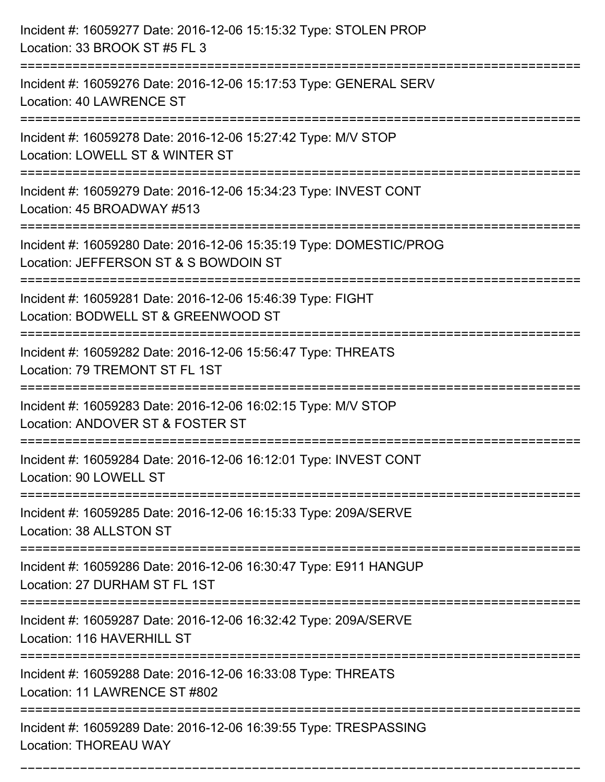| Incident #: 16059277 Date: 2016-12-06 15:15:32 Type: STOLEN PROP<br>Location: 33 BROOK ST #5 FL 3                                               |
|-------------------------------------------------------------------------------------------------------------------------------------------------|
| Incident #: 16059276 Date: 2016-12-06 15:17:53 Type: GENERAL SERV<br>Location: 40 LAWRENCE ST                                                   |
| Incident #: 16059278 Date: 2016-12-06 15:27:42 Type: M/V STOP<br>Location: LOWELL ST & WINTER ST<br>=================                           |
| Incident #: 16059279 Date: 2016-12-06 15:34:23 Type: INVEST CONT<br>Location: 45 BROADWAY #513                                                  |
| Incident #: 16059280 Date: 2016-12-06 15:35:19 Type: DOMESTIC/PROG<br>Location: JEFFERSON ST & S BOWDOIN ST<br>================================ |
| Incident #: 16059281 Date: 2016-12-06 15:46:39 Type: FIGHT<br>Location: BODWELL ST & GREENWOOD ST<br>================                           |
| Incident #: 16059282 Date: 2016-12-06 15:56:47 Type: THREATS<br>Location: 79 TREMONT ST FL 1ST<br>====================================          |
| Incident #: 16059283 Date: 2016-12-06 16:02:15 Type: M/V STOP<br>Location: ANDOVER ST & FOSTER ST                                               |
| Incident #: 16059284 Date: 2016-12-06 16:12:01 Type: INVEST CONT<br>Location: 90 LOWELL ST                                                      |
| Incident #: 16059285 Date: 2016-12-06 16:15:33 Type: 209A/SERVE<br>Location: 38 ALLSTON ST                                                      |
| Incident #: 16059286 Date: 2016-12-06 16:30:47 Type: E911 HANGUP<br>Location: 27 DURHAM ST FL 1ST                                               |
| Incident #: 16059287 Date: 2016-12-06 16:32:42 Type: 209A/SERVE<br>Location: 116 HAVERHILL ST                                                   |
| Incident #: 16059288 Date: 2016-12-06 16:33:08 Type: THREATS<br>Location: 11 LAWRENCE ST #802                                                   |
| Incident #: 16059289 Date: 2016-12-06 16:39:55 Type: TRESPASSING<br><b>Location: THOREAU WAY</b>                                                |

===========================================================================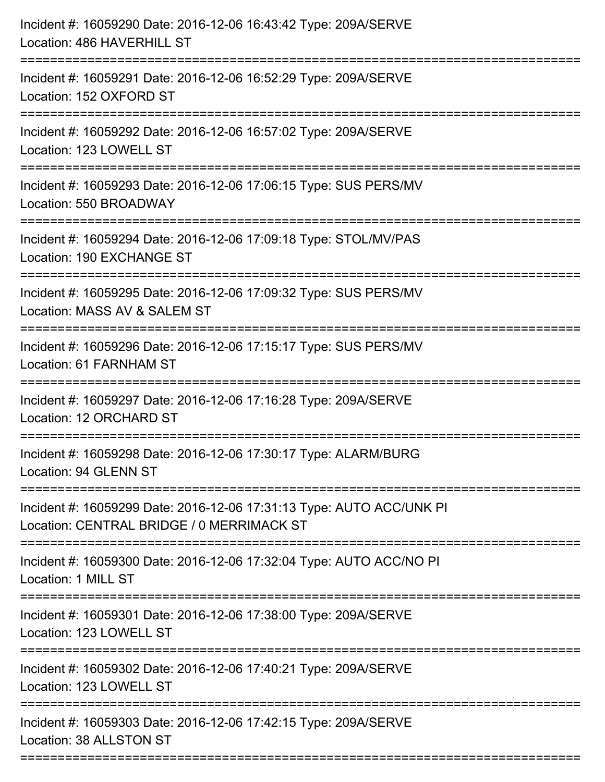| Incident #: 16059290 Date: 2016-12-06 16:43:42 Type: 209A/SERVE<br>Location: 486 HAVERHILL ST                     |
|-------------------------------------------------------------------------------------------------------------------|
| Incident #: 16059291 Date: 2016-12-06 16:52:29 Type: 209A/SERVE<br>Location: 152 OXFORD ST                        |
| Incident #: 16059292 Date: 2016-12-06 16:57:02 Type: 209A/SERVE<br>Location: 123 LOWELL ST                        |
| Incident #: 16059293 Date: 2016-12-06 17:06:15 Type: SUS PERS/MV<br>Location: 550 BROADWAY                        |
| Incident #: 16059294 Date: 2016-12-06 17:09:18 Type: STOL/MV/PAS<br>Location: 190 EXCHANGE ST                     |
| Incident #: 16059295 Date: 2016-12-06 17:09:32 Type: SUS PERS/MV<br>Location: MASS AV & SALEM ST                  |
| Incident #: 16059296 Date: 2016-12-06 17:15:17 Type: SUS PERS/MV<br>Location: 61 FARNHAM ST                       |
| Incident #: 16059297 Date: 2016-12-06 17:16:28 Type: 209A/SERVE<br>Location: 12 ORCHARD ST                        |
| Incident #: 16059298 Date: 2016-12-06 17:30:17 Type: ALARM/BURG<br>Location: 94 GLENN ST                          |
| Incident #: 16059299 Date: 2016-12-06 17:31:13 Type: AUTO ACC/UNK PI<br>Location: CENTRAL BRIDGE / 0 MERRIMACK ST |
| Incident #: 16059300 Date: 2016-12-06 17:32:04 Type: AUTO ACC/NO PI<br>Location: 1 MILL ST                        |
| Incident #: 16059301 Date: 2016-12-06 17:38:00 Type: 209A/SERVE<br>Location: 123 LOWELL ST                        |
| Incident #: 16059302 Date: 2016-12-06 17:40:21 Type: 209A/SERVE<br>Location: 123 LOWELL ST                        |
| Incident #: 16059303 Date: 2016-12-06 17:42:15 Type: 209A/SERVE<br>Location: 38 ALLSTON ST                        |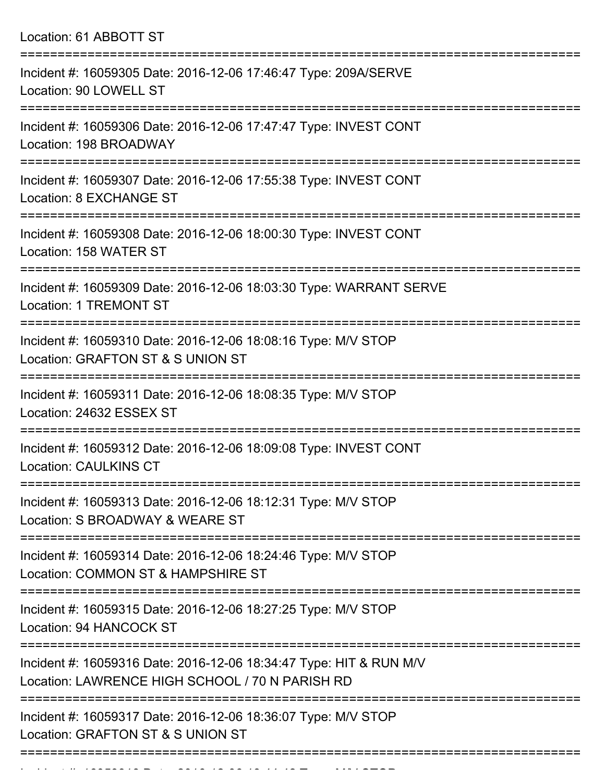| Location: 61 ABBOTT ST                                                                                                         |
|--------------------------------------------------------------------------------------------------------------------------------|
| Incident #: 16059305 Date: 2016-12-06 17:46:47 Type: 209A/SERVE<br>Location: 90 LOWELL ST                                      |
| Incident #: 16059306 Date: 2016-12-06 17:47:47 Type: INVEST CONT<br>Location: 198 BROADWAY                                     |
| Incident #: 16059307 Date: 2016-12-06 17:55:38 Type: INVEST CONT<br>Location: 8 EXCHANGE ST<br>:============================== |
| Incident #: 16059308 Date: 2016-12-06 18:00:30 Type: INVEST CONT<br>Location: 158 WATER ST                                     |
| Incident #: 16059309 Date: 2016-12-06 18:03:30 Type: WARRANT SERVE<br><b>Location: 1 TREMONT ST</b>                            |
| Incident #: 16059310 Date: 2016-12-06 18:08:16 Type: M/V STOP<br>Location: GRAFTON ST & S UNION ST                             |
| Incident #: 16059311 Date: 2016-12-06 18:08:35 Type: M/V STOP<br>Location: 24632 ESSEX ST                                      |
| Incident #: 16059312 Date: 2016-12-06 18:09:08 Type: INVEST CONT<br><b>Location: CAULKINS CT</b>                               |
| Incident #: 16059313 Date: 2016-12-06 18:12:31 Type: M/V STOP<br>Location: S BROADWAY & WEARE ST                               |
| Incident #: 16059314 Date: 2016-12-06 18:24:46 Type: M/V STOP<br>Location: COMMON ST & HAMPSHIRE ST                            |
| Incident #: 16059315 Date: 2016-12-06 18:27:25 Type: M/V STOP<br>Location: 94 HANCOCK ST                                       |
| Incident #: 16059316 Date: 2016-12-06 18:34:47 Type: HIT & RUN M/V<br>Location: LAWRENCE HIGH SCHOOL / 70 N PARISH RD          |
| Incident #: 16059317 Date: 2016-12-06 18:36:07 Type: M/V STOP<br>Location: GRAFTON ST & S UNION ST                             |

Incident #: 16059318 Date: 2016 12 06 18:44:42 Type: M/V STOP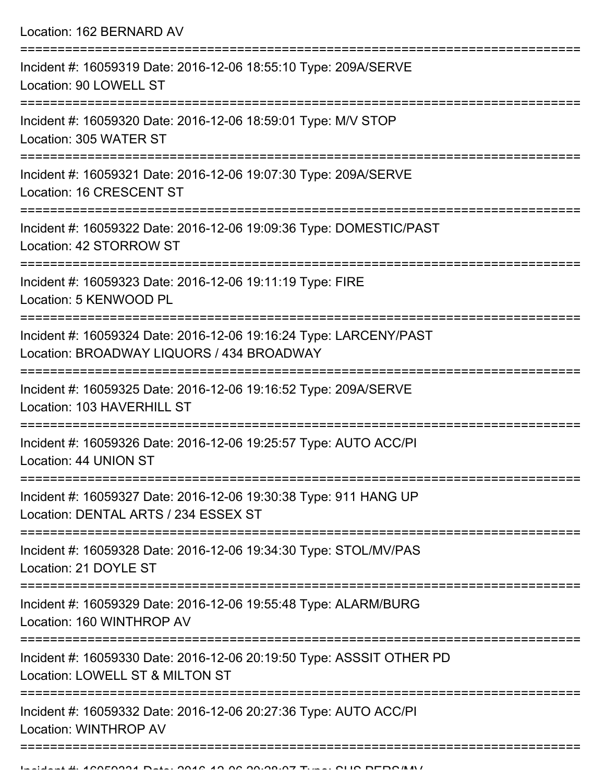Location: 162 BERNARD AV =========================================================================== Incident #: 16059319 Date: 2016-12-06 18:55:10 Type: 209A/SERVE Location: 90 LOWELL ST =========================================================================== Incident #: 16059320 Date: 2016-12-06 18:59:01 Type: M/V STOP Location: 305 WATER ST =========================================================================== Incident #: 16059321 Date: 2016-12-06 19:07:30 Type: 209A/SERVE Location: 16 CRESCENT ST =========================================================================== Incident #: 16059322 Date: 2016-12-06 19:09:36 Type: DOMESTIC/PAST Location: 42 STORROW ST =========================================================================== Incident #: 16059323 Date: 2016-12-06 19:11:19 Type: FIRE Location: 5 KENWOOD PL =========================================================================== Incident #: 16059324 Date: 2016-12-06 19:16:24 Type: LARCENY/PAST Location: BROADWAY LIQUORS / 434 BROADWAY =========================================================================== Incident #: 16059325 Date: 2016-12-06 19:16:52 Type: 209A/SERVE Location: 103 HAVERHILL ST =========================================================================== Incident #: 16059326 Date: 2016-12-06 19:25:57 Type: AUTO ACC/PI Location: 44 UNION ST =========================================================================== Incident #: 16059327 Date: 2016-12-06 19:30:38 Type: 911 HANG UP Location: DENTAL ARTS / 234 ESSEX ST =========================================================================== Incident #: 16059328 Date: 2016-12-06 19:34:30 Type: STOL/MV/PAS Location: 21 DOYLE ST =========================================================================== Incident #: 16059329 Date: 2016-12-06 19:55:48 Type: ALARM/BURG Location: 160 WINTHROP AV =========================================================================== Incident #: 16059330 Date: 2016-12-06 20:19:50 Type: ASSSIT OTHER PD Location: LOWELL ST & MILTON ST =========================================================================== Incident #: 16059332 Date: 2016-12-06 20:27:36 Type: AUTO ACC/PI Location: WINTHROP AV ===========================================================================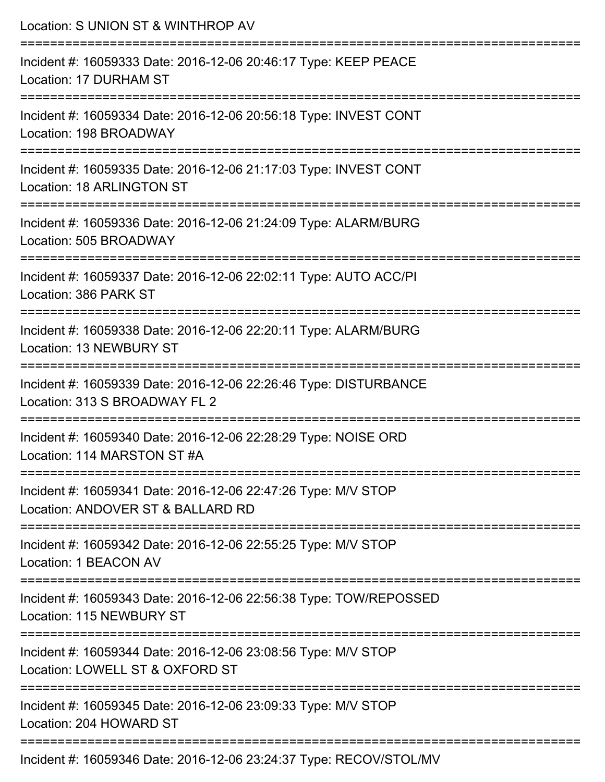| Location: S UNION ST & WINTHROP AV                                                                                                   |
|--------------------------------------------------------------------------------------------------------------------------------------|
| Incident #: 16059333 Date: 2016-12-06 20:46:17 Type: KEEP PEACE<br>Location: 17 DURHAM ST                                            |
| Incident #: 16059334 Date: 2016-12-06 20:56:18 Type: INVEST CONT<br>Location: 198 BROADWAY                                           |
| Incident #: 16059335 Date: 2016-12-06 21:17:03 Type: INVEST CONT<br><b>Location: 18 ARLINGTON ST</b>                                 |
| Incident #: 16059336 Date: 2016-12-06 21:24:09 Type: ALARM/BURG<br>Location: 505 BROADWAY                                            |
| Incident #: 16059337 Date: 2016-12-06 22:02:11 Type: AUTO ACC/PI<br>Location: 386 PARK ST                                            |
| Incident #: 16059338 Date: 2016-12-06 22:20:11 Type: ALARM/BURG<br>Location: 13 NEWBURY ST                                           |
| Incident #: 16059339 Date: 2016-12-06 22:26:46 Type: DISTURBANCE<br>Location: 313 S BROADWAY FL 2                                    |
| :==================================<br>Incident #: 16059340 Date: 2016-12-06 22:28:29 Type: NOISE ORD<br>Location: 114 MARSTON ST #A |
| -----------------------------<br>Incident #: 16059341 Date: 2016-12-06 22:47:26 Type: M/V STOP<br>Location: ANDOVER ST & BALLARD RD  |
| Incident #: 16059342 Date: 2016-12-06 22:55:25 Type: M/V STOP<br>Location: 1 BEACON AV                                               |
| Incident #: 16059343 Date: 2016-12-06 22:56:38 Type: TOW/REPOSSED<br>Location: 115 NEWBURY ST                                        |
| Incident #: 16059344 Date: 2016-12-06 23:08:56 Type: M/V STOP<br>Location: LOWELL ST & OXFORD ST                                     |
| Incident #: 16059345 Date: 2016-12-06 23:09:33 Type: M/V STOP<br>Location: 204 HOWARD ST                                             |
| Incident #: 16059346 Date: 2016-12-06 23:24:37 Type: RECOV/STOL/MV                                                                   |

Incident #: 16059346 Date: 2016-12-06 23:24:37 Type: RECOV/STOL/MV